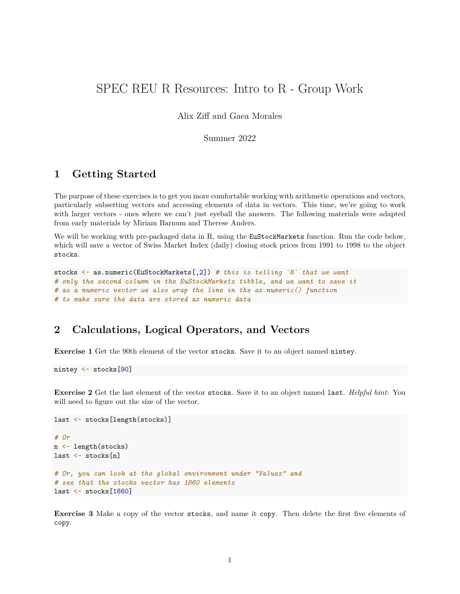# SPEC REU R Resources: Intro to R - Group Work

#### Alix Ziff and Gaea Morales

#### Summer 2022

## **1 Getting Started**

The purpose of these exercises is to get you more comfortable working with arithmetic operations and vectors, particularly subsetting vectors and accessing elements of data in vectors. This time, we're going to work with larger vectors - ones where we can't just eyeball the answers. The following materials were adapted from early materials by Miriam Barnum and Therese Anders.

We will be working with pre-packaged data in R, using the EuStockMarkets function. Run the code below, which will save a vector of Swiss Market Index (daily) closing stock prices from 1991 to 1998 to the object stocks.

```
stocks <- as.numeric(EuStockMarkets[,2]) # this is telling `R` that we want
# only the second column in the EuStockMarkets tibble, and we want to save it
# as a numeric vector we also wrap the line in the as.numeric() function
# to make sure the data are stored as numeric data
```
## **2 Calculations, Logical Operators, and Vectors**

**Exercise 1** Get the 90th element of the vector stocks. Save it to an object named nintey.

nintey <- stocks[90]

**Exercise 2** Get the last element of the vector stocks. Save it to an object named last. *Helpful hint*: You will need to figure out the size of the vector.

```
last <- stocks[length(stocks)]
# Or
n <- length(stocks)
last <- stocks[n]
# Or, you can look at the global environment under "Values" and
# see that the stocks vector has 1860 elements
last <- stocks[1860]
```
**Exercise 3** Make a copy of the vector stocks, and name it copy. Then delete the first five elements of copy.